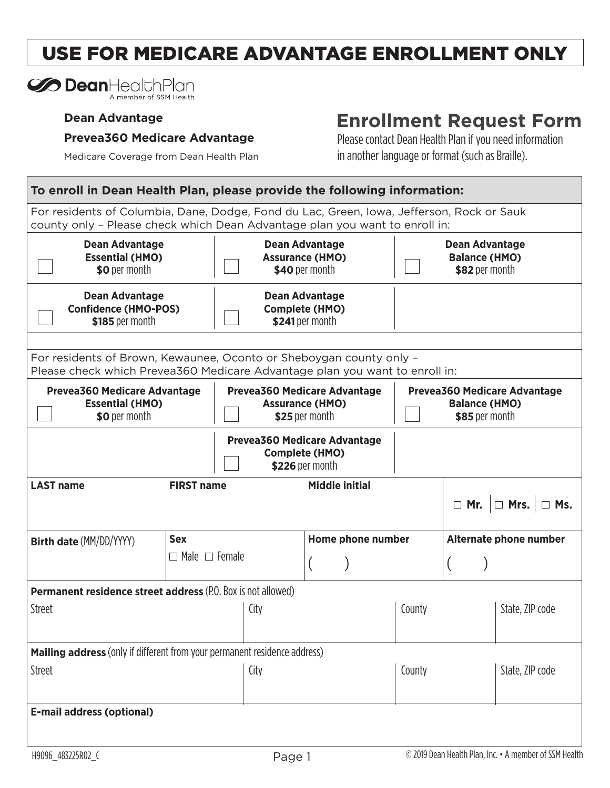# USE FOR MEDICARE ADVANTAGE ENROLLMENT ONLY

#### **Dean Advantage**

#### **Prevea360 Medicare Advantage**

## **Enrollment Request Form**

Medicare Coverage from Dean Health Plan

Please contact Dean Health Plan if you need information in another language or format (such as Braille).

| To enroll in Dean Health Plan, please provide the following information:                                                                                                 |                                                                                 |                                                              |                       |                                                                        |        |  |                |                                               |
|--------------------------------------------------------------------------------------------------------------------------------------------------------------------------|---------------------------------------------------------------------------------|--------------------------------------------------------------|-----------------------|------------------------------------------------------------------------|--------|--|----------------|-----------------------------------------------|
| For residents of Columbia, Dane, Dodge, Fond du Lac, Green, Iowa, Jefferson, Rock or Sauk<br>county only - Please check which Dean Advantage plan you want to enroll in: |                                                                                 |                                                              |                       |                                                                        |        |  |                |                                               |
| <b>Dean Advantage</b><br><b>Essential (HMO)</b><br>\$0 per month                                                                                                         |                                                                                 | <b>Dean Advantage</b><br><b>Assurance (HMO)</b>              | \$40 per month        |                                                                        |        |  | \$82 per month | <b>Dean Advantage</b><br><b>Balance (HMO)</b> |
| <b>Dean Advantage</b><br><b>Confidence (HMO-POS)</b><br>\$185 per month                                                                                                  |                                                                                 | <b>Dean Advantage</b><br><b>Complete (HMO)</b>               | \$241 per month       |                                                                        |        |  |                |                                               |
|                                                                                                                                                                          |                                                                                 |                                                              |                       |                                                                        |        |  |                |                                               |
| For residents of Brown, Kewaunee, Oconto or Sheboygan county only -<br>Please check which Prevea360 Medicare Advantage plan you want to enroll in:                       |                                                                                 |                                                              |                       |                                                                        |        |  |                |                                               |
| <b>Prevea360 Medicare Advantage</b><br><b>Essential (HMO)</b><br>\$0 per month                                                                                           | <b>Prevea360 Medicare Advantage</b><br><b>Assurance (HMO)</b><br>\$25 per month |                                                              |                       | Prevea360 Medicare Advantage<br><b>Balance (HMO)</b><br>\$85 per month |        |  |                |                                               |
|                                                                                                                                                                          |                                                                                 | <b>Prevea360 Medicare Advantage</b><br><b>Complete (HMO)</b> | \$226 per month       |                                                                        |        |  |                |                                               |
| <b>LAST name</b>                                                                                                                                                         | <b>FIRST name</b>                                                               |                                                              | <b>Middle initial</b> |                                                                        |        |  |                | $\Box$ Mr. $\Box$ Mrs. $\Box$ Ms.             |
| <b>Birth date (MM/DD/YYYY)</b>                                                                                                                                           | <b>Sex</b>                                                                      |                                                              |                       | Home phone number                                                      |        |  |                | Alternate phone number                        |
| $\Box$ Male $\Box$ Female                                                                                                                                                |                                                                                 |                                                              |                       |                                                                        |        |  |                |                                               |
| <b>Permanent residence street address (P.O. Box is not allowed)</b>                                                                                                      |                                                                                 |                                                              |                       |                                                                        |        |  |                |                                               |
| <b>Street</b>                                                                                                                                                            |                                                                                 | City                                                         |                       |                                                                        | County |  |                | State, ZIP code                               |
| <b>Mailing address</b> (only if different from your permanent residence address)                                                                                         |                                                                                 |                                                              |                       |                                                                        |        |  |                |                                               |
| <b>Street</b>                                                                                                                                                            |                                                                                 | City                                                         |                       |                                                                        | County |  |                | State, ZIP code                               |
| <b>E-mail address (optional)</b>                                                                                                                                         |                                                                                 |                                                              |                       |                                                                        |        |  |                |                                               |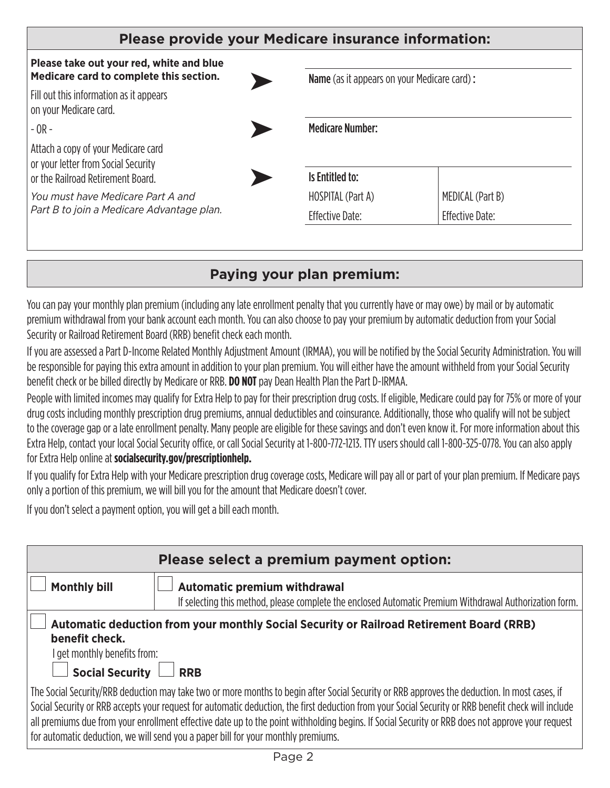| Please provide your Medicare insurance information:                                 |  |                                                    |                        |
|-------------------------------------------------------------------------------------|--|----------------------------------------------------|------------------------|
| Please take out your red, white and blue<br>Medicare card to complete this section. |  | <b>Name</b> (as it appears on your Medicare card): |                        |
| Fill out this information as it appears<br>on your Medicare card.                   |  |                                                    |                        |
| $-$ OR $-$                                                                          |  | <b>Medicare Number:</b>                            |                        |
| Attach a copy of your Medicare card<br>or your letter from Social Security          |  |                                                    |                        |
| or the Railroad Retirement Board.                                                   |  | Is Entitled to:                                    |                        |
| You must have Medicare Part A and                                                   |  | HOSPITAL (Part A)                                  | MEDICAL (Part B)       |
| Part B to join a Medicare Advantage plan.                                           |  | Effective Date:                                    | <b>Effective Date:</b> |

## **Paying your plan premium:**

You can pay your monthly plan premium (including any late enrollment penalty that you currently have or may owe) by mail or by automatic premium withdrawal from your bank account each month. You can also choose to pay your premium by automatic deduction from your Social Security or Railroad Retirement Board (RRB) benefit check each month.

If you are assessed a Part D-Income Related Monthly Adjustment Amount (IRMAA), you will be notified by the Social Security Administration. You will be responsible for paying this extra amount in addition to your plan premium. You will either have the amount withheld from your Social Security benefit check or be billed directly by Medicare or RRB. **DO NOT** pay Dean Health Plan the Part D-IRMAA.

People with limited incomes may qualify for Extra Help to pay for their prescription drug costs. If eligible, Medicare could pay for 75% or more of your drug costs including monthly prescription drug premiums, annual deductibles and coinsurance. Additionally, those who qualify will not be subject to the coverage gap or a late enrollment penalty. Many people are eligible for these savings and don't even know it. For more information about this Extra Help, contact your local Social Security office, or call Social Security at 1-800-772-1213. TTY users should call 1-800-325-0778. You can also apply for Extra Help online at **socialsecurity.gov/prescriptionhelp.** 

If you qualify for Extra Help with your Medicare prescription drug coverage costs, Medicare will pay all or part of your plan premium. If Medicare pays only a portion of this premium, we will bill you for the amount that Medicare doesn't cover.

If you don't select a payment option, you will get a bill each month.

|                                                                                                                                                                                                                                                                                                                                                                                                                                                                                                                                                | Please select a premium payment option:                                                                                                        |  |  |  |
|------------------------------------------------------------------------------------------------------------------------------------------------------------------------------------------------------------------------------------------------------------------------------------------------------------------------------------------------------------------------------------------------------------------------------------------------------------------------------------------------------------------------------------------------|------------------------------------------------------------------------------------------------------------------------------------------------|--|--|--|
| <b>Monthly bill</b>                                                                                                                                                                                                                                                                                                                                                                                                                                                                                                                            | <b>Automatic premium withdrawal</b><br>If selecting this method, please complete the enclosed Automatic Premium Withdrawal Authorization form. |  |  |  |
| benefit check.<br>get monthly benefits from:<br><b>Social Security</b>                                                                                                                                                                                                                                                                                                                                                                                                                                                                         | Automatic deduction from your monthly Social Security or Railroad Retirement Board (RRB)<br><b>RRB</b>                                         |  |  |  |
| The Social Security/RRB deduction may take two or more months to begin after Social Security or RRB approves the deduction. In most cases, if<br>Social Security or RRB accepts your request for automatic deduction, the first deduction from your Social Security or RRB benefit check will include<br>all premiums due from your enrollment effective date up to the point withholding begins. If Social Security or RRB does not approve your request<br>for automatic deduction, we will send you a paper bill for your monthly premiums. |                                                                                                                                                |  |  |  |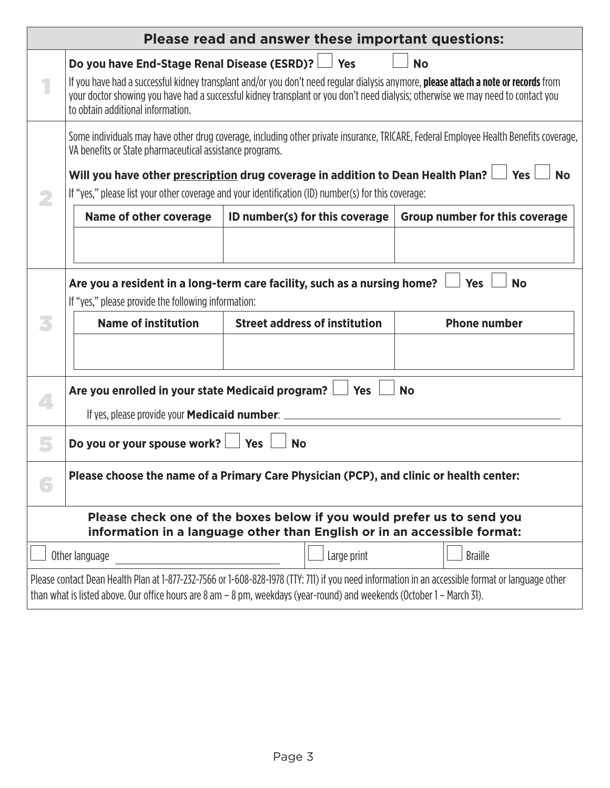| Please read and answer these important questions:                                      |                                                                                                                                                                                                                                                                                                              |                                                                                                                                                    |                                                                                                                                                  |  |  |  |  |
|----------------------------------------------------------------------------------------|--------------------------------------------------------------------------------------------------------------------------------------------------------------------------------------------------------------------------------------------------------------------------------------------------------------|----------------------------------------------------------------------------------------------------------------------------------------------------|--------------------------------------------------------------------------------------------------------------------------------------------------|--|--|--|--|
|                                                                                        | Do you have End-Stage Renal Disease (ESRD)?<br>Yes<br><b>No</b>                                                                                                                                                                                                                                              |                                                                                                                                                    |                                                                                                                                                  |  |  |  |  |
|                                                                                        | If you have had a successful kidney transplant and/or you don't need regular dialysis anymore, please attach a note or records from<br>your doctor showing you have had a successful kidney transplant or you don't need dialysis; otherwise we may need to contact you<br>to obtain additional information. |                                                                                                                                                    |                                                                                                                                                  |  |  |  |  |
|                                                                                        | Some individuals may have other drug coverage, including other private insurance, TRICARE, Federal Employee Health Benefits coverage,<br>VA benefits or State pharmaceutical assistance programs.                                                                                                            |                                                                                                                                                    |                                                                                                                                                  |  |  |  |  |
|                                                                                        | Will you have other prescription drug coverage in addition to Dean Health Plan?<br><b>Yes</b><br><b>No</b><br>If "yes," please list your other coverage and your identification (ID) number(s) for this coverage:                                                                                            |                                                                                                                                                    |                                                                                                                                                  |  |  |  |  |
|                                                                                        | <b>Name of other coverage</b>                                                                                                                                                                                                                                                                                | ID number(s) for this coverage                                                                                                                     | <b>Group number for this coverage</b>                                                                                                            |  |  |  |  |
|                                                                                        |                                                                                                                                                                                                                                                                                                              |                                                                                                                                                    |                                                                                                                                                  |  |  |  |  |
|                                                                                        | Are you a resident in a long-term care facility, such as a nursing home?<br><b>Yes</b><br><b>No</b><br>If "yes," please provide the following information:                                                                                                                                                   |                                                                                                                                                    |                                                                                                                                                  |  |  |  |  |
|                                                                                        | <b>Name of institution</b>                                                                                                                                                                                                                                                                                   | <b>Phone number</b>                                                                                                                                |                                                                                                                                                  |  |  |  |  |
|                                                                                        |                                                                                                                                                                                                                                                                                                              |                                                                                                                                                    |                                                                                                                                                  |  |  |  |  |
|                                                                                        | Are you enrolled in your state Medicaid program?                                                                                                                                                                                                                                                             | Yes                                                                                                                                                | <b>No</b>                                                                                                                                        |  |  |  |  |
|                                                                                        | If yes, please provide your <b>Medicaid number</b> :                                                                                                                                                                                                                                                         |                                                                                                                                                    |                                                                                                                                                  |  |  |  |  |
|                                                                                        | Do you or your spouse work?<br><b>Yes</b><br><b>No</b>                                                                                                                                                                                                                                                       |                                                                                                                                                    |                                                                                                                                                  |  |  |  |  |
| Please choose the name of a Primary Care Physician (PCP), and clinic or health center: |                                                                                                                                                                                                                                                                                                              |                                                                                                                                                    |                                                                                                                                                  |  |  |  |  |
|                                                                                        |                                                                                                                                                                                                                                                                                                              | Please check one of the boxes below if you would prefer us to send you<br>information in a language other than English or in an accessible format: |                                                                                                                                                  |  |  |  |  |
|                                                                                        | Other language                                                                                                                                                                                                                                                                                               | Large print                                                                                                                                        | <b>Braille</b>                                                                                                                                   |  |  |  |  |
|                                                                                        |                                                                                                                                                                                                                                                                                                              | than what is listed above. Our office hours are 8 am - 8 pm, weekdays (year-round) and weekends (October 1 - March 31).                            | Please contact Dean Health Plan at 1-877-232-7566 or 1-608-828-1978 (TTY: 711) if you need information in an accessible format or language other |  |  |  |  |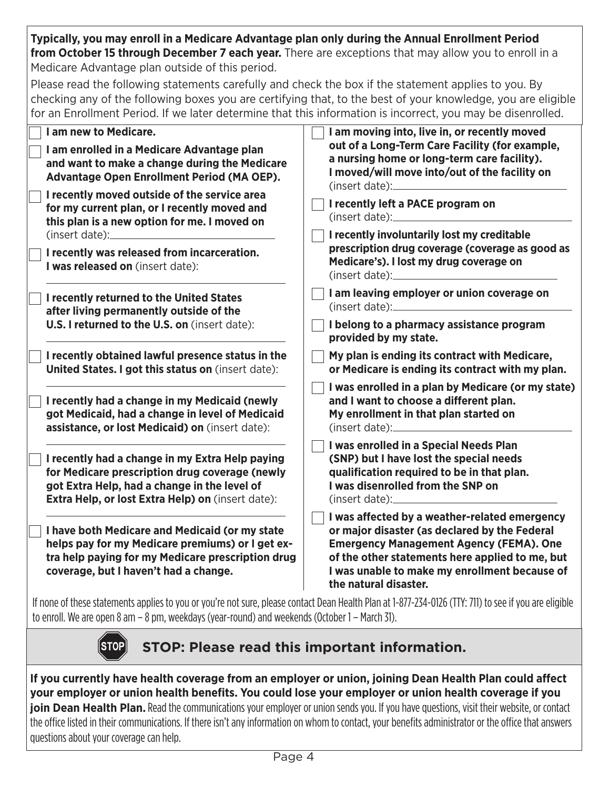**Typically, you may enroll in a Medicare Advantage plan only during the Annual Enrollment Period from October 15 through December 7 each year.** There are exceptions that may allow you to enroll in a Medicare Advantage plan outside of this period.

Please read the following statements carefully and check the box if the statement applies to you. By checking any of the following boxes you are certifying that, to the best of your knowledge, you are eligible for an Enrollment Period. If we later determine that this information is incorrect, you may be disenrolled.

| I am new to Medicare.                                                                                                                                                                                  | I am moving into, live in, or recently moved                                                                                                                                                                                                                                  |
|--------------------------------------------------------------------------------------------------------------------------------------------------------------------------------------------------------|-------------------------------------------------------------------------------------------------------------------------------------------------------------------------------------------------------------------------------------------------------------------------------|
| I am enrolled in a Medicare Advantage plan<br>and want to make a change during the Medicare<br>Advantage Open Enrollment Period (MA OEP).<br>I recently moved outside of the service area              | out of a Long-Term Care Facility (for example,<br>a nursing home or long-term care facility).<br>I moved/will move into/out of the facility on<br>(insert date):                                                                                                              |
| for my current plan, or I recently moved and<br>this plan is a new option for me. I moved on<br>(inset date):                                                                                          | I recently left a PACE program on<br>(insert date):<br>I recently involuntarily lost my creditable                                                                                                                                                                            |
| I recently was released from incarceration.<br>I was released on (insert date):                                                                                                                        | prescription drug coverage (coverage as good as<br>Medicare's). I lost my drug coverage on<br>(inset date):                                                                                                                                                                   |
| I recently returned to the United States<br>after living permanently outside of the                                                                                                                    | I am leaving employer or union coverage on<br>(inset date):                                                                                                                                                                                                                   |
| U.S. I returned to the U.S. on (insert date):                                                                                                                                                          | I belong to a pharmacy assistance program<br>provided by my state.                                                                                                                                                                                                            |
| I recently obtained lawful presence status in the<br>United States. I got this status on (insert date):                                                                                                | My plan is ending its contract with Medicare,<br>or Medicare is ending its contract with my plan.                                                                                                                                                                             |
| I recently had a change in my Medicaid (newly<br>got Medicaid, had a change in level of Medicaid<br>assistance, or lost Medicaid) on (insert date):                                                    | I was enrolled in a plan by Medicare (or my state)<br>and I want to choose a different plan.<br>My enrollment in that plan started on<br>(inset date):                                                                                                                        |
| I recently had a change in my Extra Help paying<br>for Medicare prescription drug coverage (newly<br>got Extra Help, had a change in the level of<br>Extra Help, or lost Extra Help) on (insert date): | I was enrolled in a Special Needs Plan<br>(SNP) but I have lost the special needs<br>qualification required to be in that plan.<br>I was disenrolled from the SNP on<br>(inset date):                                                                                         |
| I have both Medicare and Medicaid (or my state<br>helps pay for my Medicare premiums) or I get ex-<br>tra help paying for my Medicare prescription drug<br>coverage, but I haven't had a change.       | I was affected by a weather-related emergency<br>or major disaster (as declared by the Federal<br><b>Emergency Management Agency (FEMA). One</b><br>of the other statements here applied to me, but<br>I was unable to make my enrollment because of<br>the natural disaster. |
| the contract of the contract of the contract of the contract of the contract of the contract of the contract of                                                                                        | If none of these statements applies to you or you're not sure, please contact Dean Health Plan at 1-877-234-0126 (TTY: 711) to see if you are eligible                                                                                                                        |

to enroll. We are open 8 am – 8 pm, weekdays (year-round) and weekends (October 1 – March 31).



**STOP: Please read this important information.**

**If you currently have health coverage from an employer or union, joining Dean Health Plan could affect your employer or union health benefits. You could lose your employer or union health coverage if you join Dean Health Plan.** Read the communications your employer or union sends you. If you have questions, visit their website, or contact the office listed in their communications. If there isn't any information on whom to contact, your benefits administrator or the office that answers questions about your coverage can help.